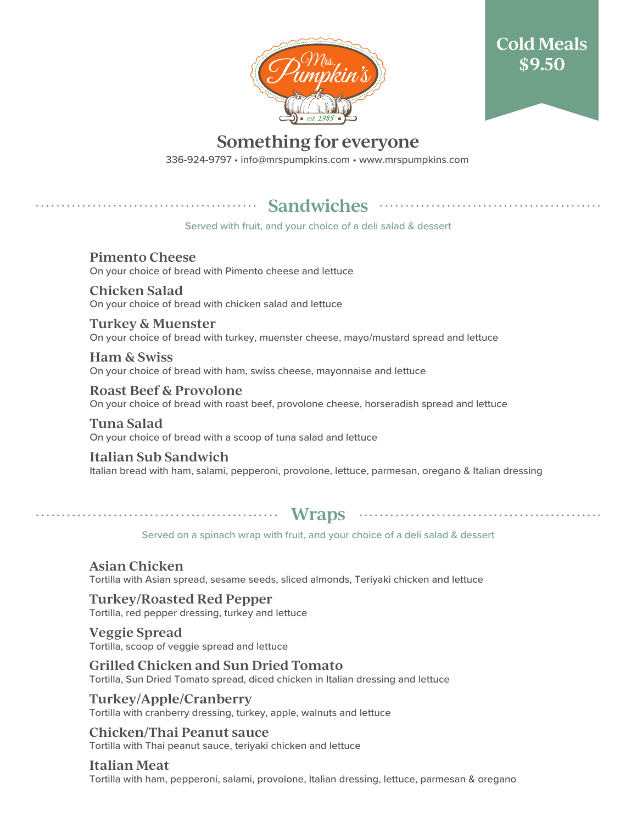



# **Something for everyone**

336-924-9797 • info@mrspumpkins.com • www.mrspumpkins.com

## **Sandwiches** ...

Served with fruit, and your choice of a deli salad & dessert

#### **Pimento Cheese** On your choice of bread with Pimento cheese and lettuce

**Chicken Salad** On your choice of bread with chicken salad and lettuce

**Turkey & Muenster** On your choice of bread with turkey, muenster cheese, mayo/mustard spread and lettuce

**Ham & Swiss** On your choice of bread with ham, swiss cheese, mayonnaise and lettuce

**Roast Beef & Provolone** On your choice of bread with roast beef, provolone cheese, horseradish spread and lettuce

**Tuna Salad** On your choice of bread with a scoop of tuna salad and lettuce

**Italian Sub Sandwich** Italian bread with ham, salami, pepperoni, provolone, lettuce, parmesan, oregano & Italian dressing

## **Wraps**

Served on a spinach wrap with fruit, and your choice of a deli salad & dessert

**Asian Chicken** Tortilla with Asian spread, sesame seeds, sliced almonds, Teriyaki chicken and lettuce

**Turkey/Roasted Red Pepper** Tortilla, red pepper dressing, turkey and lettuce

**Veggie Spread** Tortilla, scoop of veggie spread and lettuce

**Grilled Chicken and Sun Dried Tomato** Tortilla, Sun Dried Tomato spread, diced chicken in Italian dressing and lettuce

**Turkey/Apple/Cranberry** Tortilla with cranberry dressing, turkey, apple, walnuts and lettuce

**Chicken/Thai Peanut sauce** Tortilla with Thai peanut sauce, teriyaki chicken and lettuce

**Italian Meat** Tortilla with ham, pepperoni, salami, provolone, Italian dressing, lettuce, parmesan & oregano